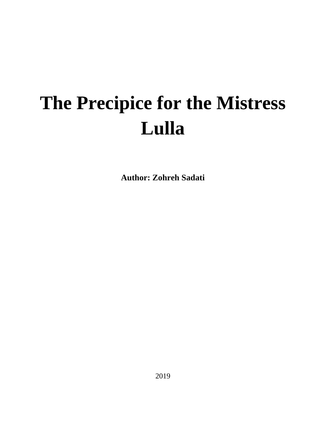## **The Precipice for the Mistress Lulla**

**Author: Zohreh Sadati**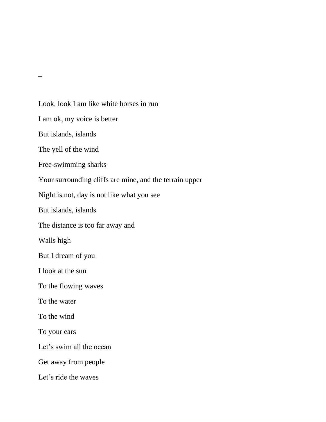Look, look I am like white horses in run I am ok, my voice is better But islands, islands The yell of the wind Free-swimming sharks Your surrounding cliffs are mine, and the terrain upper Night is not, day is not like what you see But islands, islands The distance is too far away and Walls high But I dream of you I look at the sun To the flowing waves To the water To the wind To your ears Let's swim all the ocean Get away from people Let's ride the waves

 $\overline{\phantom{0}}$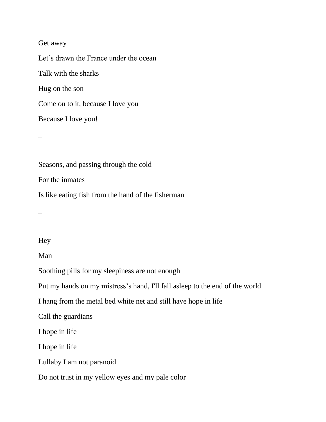## Get away

Let's drawn the France under the ocean Talk with the sharks Hug on the son Come on to it, because I love you Because I love you!

Seasons, and passing through the cold For the inmates Is like eating fish from the hand of the fisherman

 $\overline{\phantom{a}}$ 

## Hey

Man

Soothing pills for my sleepiness are not enough

Put my hands on my mistress's hand, I'll fall asleep to the end of the world

I hang from the metal bed white net and still have hope in life

Call the guardians

I hope in life

I hope in life

Lullaby I am not paranoid

Do not trust in my yellow eyes and my pale color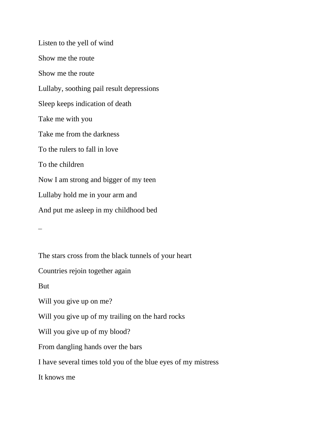Listen to the yell of wind Show me the route Show me the route Lullaby, soothing pail result depressions Sleep keeps indication of death Take me with you Take me from the darkness To the rulers to fall in love To the children Now I am strong and bigger of my teen Lullaby hold me in your arm and And put me asleep in my childhood bed

 $\overline{\phantom{a}}$ 

The stars cross from the black tunnels of your heart

Countries rejoin together again

But

Will you give up on me?

Will you give up of my trailing on the hard rocks

Will you give up of my blood?

From dangling hands over the bars

I have several times told you of the blue eyes of my mistress

It knows me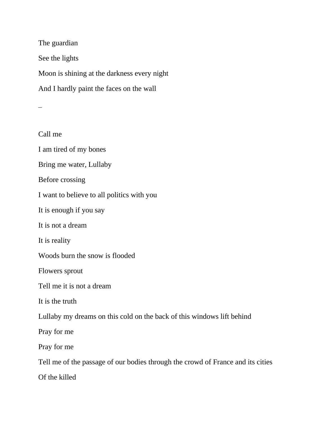The guardian See the lights Moon is shining at the darkness every night And I hardly paint the faces on the wall

Call me I am tired of my bones Bring me water, Lullaby Before crossing I want to believe to all politics with you It is enough if you say It is not a dream It is reality Woods burn the snow is flooded Flowers sprout Tell me it is not a dream It is the truth Lullaby my dreams on this cold on the back of this windows lift behind Pray for me Pray for me Tell me of the passage of our bodies through the crowd of France and its cities Of the killed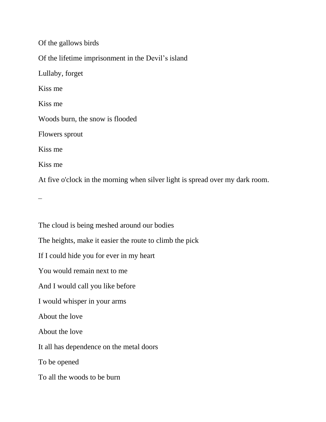Of the gallows birds Of the lifetime imprisonment in the Devil's island Lullaby, forget Kiss me Kiss me Woods burn, the snow is flooded Flowers sprout Kiss me Kiss me At five o'clock in the morning when silver light is spread over my dark room.

The cloud is being meshed around our bodies The heights, make it easier the route to climb the pick If I could hide you for ever in my heart You would remain next to me And I would call you like before I would whisper in your arms About the love About the love It all has dependence on the metal doors To be opened To all the woods to be burn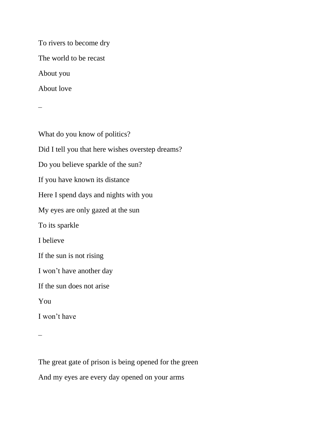To rivers to become dry The world to be recast About you About love

What do you know of politics? Did I tell you that here wishes overstep dreams? Do you believe sparkle of the sun? If you have known its distance Here I spend days and nights with you My eyes are only gazed at the sun To its sparkle I believe If the sun is not rising I won't have another day If the sun does not arise You I won't have

 $\overline{\phantom{a}}$ 

The great gate of prison is being opened for the green And my eyes are every day opened on your arms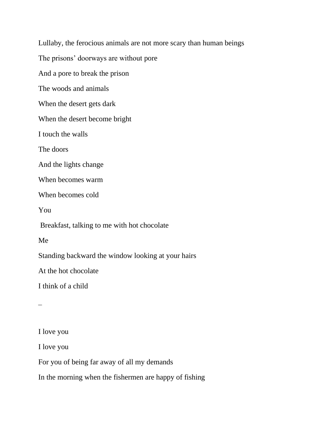Lullaby, the ferocious animals are not more scary than human beings The prisons' doorways are without pore And a pore to break the prison The woods and animals When the desert gets dark When the desert become bright I touch the walls The doors And the lights change When becomes warm When becomes cold You Breakfast, talking to me with hot chocolate Me Standing backward the window looking at your hairs At the hot chocolate I think of a child  $\overline{\phantom{a}}$ I love you I love you

For you of being far away of all my demands

In the morning when the fishermen are happy of fishing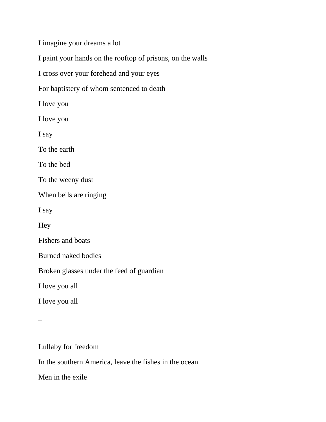I imagine your dreams a lot

I paint your hands on the rooftop of prisons, on the walls

I cross over your forehead and your eyes

For baptistery of whom sentenced to death

I love you

I love you

I say

To the earth

To the bed

To the weeny dust

When bells are ringing

I say

Hey

Fishers and boats

Burned naked bodies

Broken glasses under the feed of guardian

I love you all

I love you all

 $\overline{\phantom{0}}$ 

Lullaby for freedom

In the southern America, leave the fishes in the ocean

Men in the exile